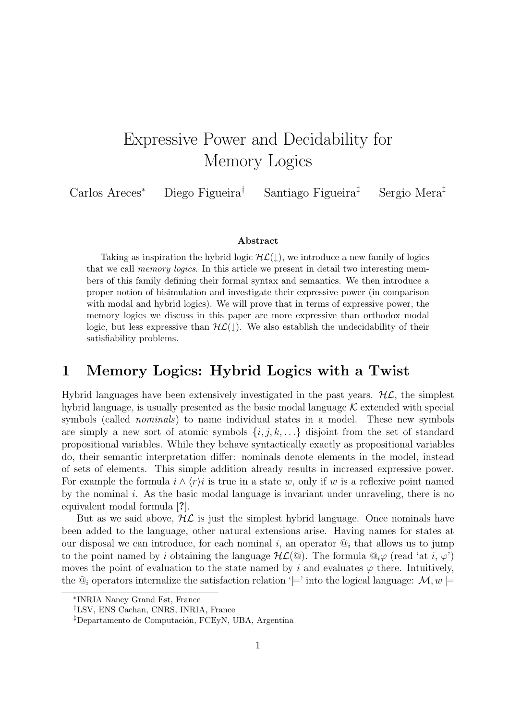# Expressive Power and Decidability for Memory Logics

Carlos Areces<sup>∗</sup> Diego Figueira† Santiago Figueira‡ Sergio Mera‡

#### Abstract

Taking as inspiration the hybrid logic  $H\mathcal{L}(\downarrow)$ , we introduce a new family of logics that we call memory logics. In this article we present in detail two interesting members of this family defining their formal syntax and semantics. We then introduce a proper notion of bisimulation and investigate their expressive power (in comparison with modal and hybrid logics). We will prove that in terms of expressive power, the memory logics we discuss in this paper are more expressive than orthodox modal logic, but less expressive than  $H\mathcal{L}(\downarrow)$ . We also establish the undecidability of their satisfiability problems.

### 1 Memory Logics: Hybrid Logics with a Twist

Hybrid languages have been extensively investigated in the past years.  $H\mathcal{L}$ , the simplest hybrid language, is usually presented as the basic modal language  $K$  extended with special symbols (called *nominals*) to name individual states in a model. These new symbols are simply a new sort of atomic symbols  $\{i, j, k, \ldots\}$  disjoint from the set of standard propositional variables. While they behave syntactically exactly as propositional variables do, their semantic interpretation differ: nominals denote elements in the model, instead of sets of elements. This simple addition already results in increased expressive power. For example the formula  $i \wedge \langle r \rangle i$  is true in a state w, only if w is a reflexive point named by the nominal  $i$ . As the basic modal language is invariant under unraveling, there is no equivalent modal formula [?].

But as we said above,  $H\mathcal{L}$  is just the simplest hybrid language. Once nominals have been added to the language, other natural extensions arise. Having names for states at our disposal we can introduce, for each nominal i, an operator  $\mathbb{Q}_i$  that allows us to jump to the point named by i obtaining the language  $H\mathcal{L}(\mathcal{Q})$ . The formula  $\mathcal{Q}_i\varphi$  (read 'at i,  $\varphi'$ ) moves the point of evaluation to the state named by i and evaluates  $\varphi$  there. Intuitively, the  $\mathbb{Q}_i$  operators internalize the satisfaction relation '=' into the logical language:  $\mathcal{M}, w \models$ 

<sup>∗</sup> INRIA Nancy Grand Est, France

<sup>†</sup>LSV, ENS Cachan, CNRS, INRIA, France

<sup>&</sup>lt;sup>‡</sup>Departamento de Computación, FCEyN, UBA, Argentina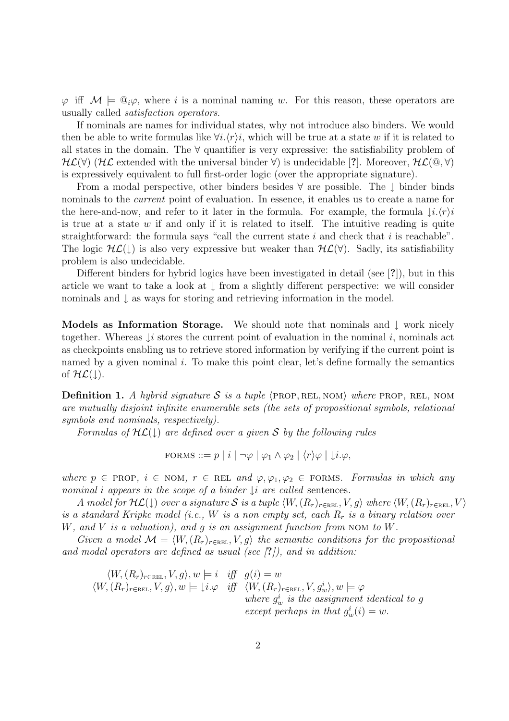$\varphi$  iff  $\mathcal{M} \models \mathbb{Q}_i \varphi$ , where i is a nominal naming w. For this reason, these operators are usually called satisfaction operators.

If nominals are names for individual states, why not introduce also binders. We would then be able to write formulas like  $\forall i.\langle r\rangle i$ , which will be true at a state w if it is related to all states in the domain. The ∀ quantifier is very expressive: the satisfiability problem of  $H\mathcal{L}(\forall)$  (HL extended with the universal binder  $\forall$ ) is undecidable [?]. Moreover,  $H\mathcal{L}(\mathbb{Q},\forall)$ is expressively equivalent to full first-order logic (over the appropriate signature).

From a modal perspective, other binders besides ∀ are possible. The ↓ binder binds nominals to the *current* point of evaluation. In essence, it enables us to create a name for the here-and-now, and refer to it later in the formula. For example, the formula  $\downarrow i.\langle r \rangle i$ is true at a state  $w$  if and only if it is related to itself. The intuitive reading is quite straightforward: the formula says "call the current state  $i$  and check that  $i$  is reachable". The logic  $H\mathcal{L}(\downarrow)$  is also very expressive but weaker than  $H\mathcal{L}(\forall)$ . Sadly, its satisfiability problem is also undecidable.

Different binders for hybrid logics have been investigated in detail (see [?]), but in this article we want to take a look at ↓ from a slightly different perspective: we will consider nominals and ↓ as ways for storing and retrieving information in the model.

Models as Information Storage. We should note that nominals and ↓ work nicely together. Whereas  $\downarrow i$  stores the current point of evaluation in the nominal i, nominals act as checkpoints enabling us to retrieve stored information by verifying if the current point is named by a given nominal  $i$ . To make this point clear, let's define formally the semantics of  $H{\mathcal{L}}(\downarrow)$ .

**Definition 1.** A hybrid signature S is a tuple  $\langle$ PROP, REL, NOM $\rangle$  where PROP, REL, NOM are mutually disjoint infinite enumerable sets (the sets of propositional symbols, relational symbols and nominals, respectively).

Formulas of  $H\mathcal{L}(\downarrow)$  are defined over a given S by the following rules

FORMS ::= 
$$
p | i | \neg \varphi | \varphi_1 \wedge \varphi_2 | \langle r \rangle \varphi | \downarrow i.\varphi
$$
,

where  $p \in \text{PROP}, i \in \text{NOM}, r \in \text{REL}$  and  $\varphi, \varphi_1, \varphi_2 \in \text{FORMS}.$  Formulas in which any nominal i appears in the scope of a binder  $\downarrow i$  are called sentences.

A model for  $H\mathcal{L}(\downarrow)$  over a signature S is a tuple  $\langle W,(R_r)_{r\in\text{REL}}, V, g \rangle$  where  $\langle W,(R_r)_{r\in\text{REL}}, V \rangle$ is a standard Kripke model (i.e., W is a non empty set, each  $R_r$  is a binary relation over W, and V is a valuation), and  $g$  is an assignment function from NOM to  $W$ .

Given a model  $\mathcal{M} = \langle W,(R_r)_{r \in \text{REL}}, V, g \rangle$  the semantic conditions for the propositional and modal operators are defined as usual (see  $(?)$ ), and in addition:

$$
\langle W, (R_r)_{r \in \text{REL}}, V, g \rangle, w \models i \quad \text{iff} \quad g(i) = w
$$
  

$$
\langle W, (R_r)_{r \in \text{REL}}, V, g \rangle, w \models \downarrow i. \varphi \quad \text{iff} \quad \langle W, (R_r)_{r \in \text{REL}}, V, g_w^i \rangle, w \models \varphi
$$
  
*where*  $g_w^i$  *is the assignment identical to g*  
*except perhaps in that*  $g_w^i(i) = w$ .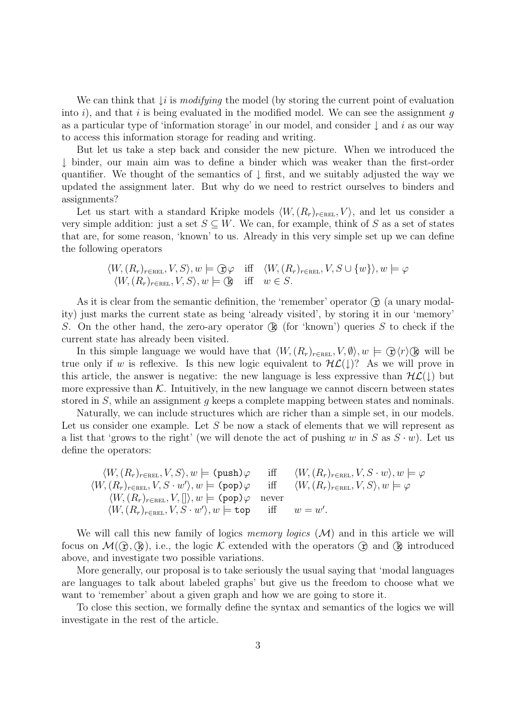We can think that  $\downarrow i$  is modifying the model (by storing the current point of evaluation into  $i$ ), and that i is being evaluated in the modified model. We can see the assignment g as a particular type of 'information storage' in our model, and consider  $\downarrow$  and i as our way to access this information storage for reading and writing.

But let us take a step back and consider the new picture. When we introduced the ↓ binder, our main aim was to define a binder which was weaker than the first-order quantifier. We thought of the semantics of ↓ first, and we suitably adjusted the way we updated the assignment later. But why do we need to restrict ourselves to binders and assignments?

Let us start with a standard Kripke models  $\langle W,(R_r)_{r\in\text{REL}}, V \rangle$ , and let us consider a very simple addition: just a set  $S \subseteq W$ . We can, for example, think of S as a set of states that are, for some reason, 'known' to us. Already in this very simple set up we can define the following operators

$$
\langle W, (R_r)_{r \in \text{REL}}, V, S \rangle, w \models \textcircled{f} \varphi \quad \text{iff} \quad \langle W, (R_r)_{r \in \text{REL}}, V, S \cup \{w\} \rangle, w \models \varphi
$$
  

$$
\langle W, (R_r)_{r \in \text{REL}}, V, S \rangle, w \models \textcircled{g} \quad \text{iff} \quad w \in S.
$$

As it is clear from the semantic definition, the 'remember' operator  $\hat{\sigma}$  (a unary modality) just marks the current state as being 'already visited', by storing it in our 'memory' S. On the other hand, the zero-ary operator  $\mathbb R$  (for 'known') queries S to check if the current state has already been visited.

In this simple language we would have that  $\langle W,(R_r)_{r\in\text{REL}}, V, \emptyset \rangle, w \models \bigoplus \langle r \rangle \langle \mathbb{R} \rangle$  will be true only if w is reflexive. Is this new logic equivalent to  $H{\mathcal{L}}(\downarrow)$ ? As we will prove in this article, the answer is negative: the new language is less expressive than  $H\mathcal{L}(\downarrow)$  but more expressive than  $\mathcal K$ . Intuitively, in the new language we cannot discern between states stored in S, while an assignment g keeps a complete mapping between states and nominals.

Naturally, we can include structures which are richer than a simple set, in our models. Let us consider one example. Let  $S$  be now a stack of elements that we will represent as a list that 'grows to the right' (we will denote the act of pushing w in S as  $S \cdot w$ ). Let us define the operators:

$$
\langle W, (R_r)_{r \in \text{REL}}, V, S \rangle, w \models (\text{push}) \varphi \quad \text{iff} \quad \langle W, (R_r)_{r \in \text{REL}}, V, S \cdot w \rangle, w \models \varphi
$$
  

$$
\langle W, (R_r)_{r \in \text{REL}}, V, S \cdot w' \rangle, w \models (\text{pop}) \varphi \quad \text{iff} \quad \langle W, (R_r)_{r \in \text{REL}}, V, S \rangle, w \models \varphi
$$
  

$$
\langle W, (R_r)_{r \in \text{REL}}, V, \parallel \rangle, w \models (\text{pop}) \varphi \quad \text{never}
$$
  

$$
\langle W, (R_r)_{r \in \text{REL}}, V, S \cdot w' \rangle, w \models \text{top} \quad \text{iff} \quad w = w'.
$$

We will call this new family of logics memory logics  $(\mathcal{M})$  and in this article we will focus on  $\mathcal{M}(\mathbb{G}, \mathbb{Q})$ , i.e., the logic K extended with the operators  $\mathbb{G}$  and  $\mathbb{Q}$  introduced above, and investigate two possible variations.

More generally, our proposal is to take seriously the usual saying that 'modal languages are languages to talk about labeled graphs' but give us the freedom to choose what we want to 'remember' about a given graph and how we are going to store it.

To close this section, we formally define the syntax and semantics of the logics we will investigate in the rest of the article.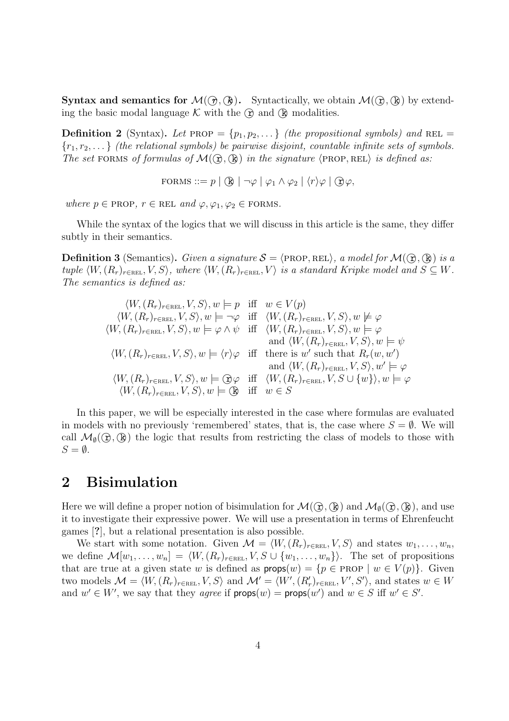**Syntax and semantics for**  $\mathcal{M}(\mathcal{D}, \mathcal{B})$ **.** Syntactically, we obtain  $\mathcal{M}(\mathcal{D}, \mathcal{B})$  by extending the basic modal language  $K$  with the  $\hat{r}$  and  $\hat{r}$  modalities.

**Definition 2** (Syntax). Let PROP =  $\{p_1, p_2, ...\}$  (the propositional symbols) and REL =  ${r_1, r_2,...}$  (the relational symbols) be pairwise disjoint, countable infinite sets of symbols. The set FORMS of formulas of  $\mathcal{M}(\hat{\Omega}, \hat{\alpha})$  in the signature  $\langle$ PROP, REL $\rangle$  is defined as:

FORMS ::=  $p | (\mathbf{k} | \neg \varphi | \varphi_1 \wedge \varphi_2 | \langle r \rangle \varphi | \mathbf{r}) \varphi$ ,

where  $p \in \text{PROP}, r \in \text{REL}$  and  $\varphi, \varphi_1, \varphi_2 \in \text{FORMS}.$ 

While the syntax of the logics that we will discuss in this article is the same, they differ subtly in their semantics.

**Definition 3** (Semantics). Given a signature  $S = \langle \text{PROP}, \text{REL} \rangle$ , a model for  $\mathcal{M}(\hat{\Omega}, \hat{\alpha})$  is a tuple  $\langle W,(R_r)_{r\in \text{REL}}, V, S \rangle$ , where  $\langle W,(R_r)_{r\in \text{REL}}, V \rangle$  is a standard Kripke model and  $S \subseteq W$ . The semantics is defined as:

$$
\langle W, (R_r)_{r \in \text{REL}}, V, S \rangle, w \models p \quad \text{iff} \quad w \in V(p)
$$
  
\n
$$
\langle W, (R_r)_{r \in \text{REL}}, V, S \rangle, w \models \neg \varphi \quad \text{iff} \quad \langle W, (R_r)_{r \in \text{REL}}, V, S \rangle, w \not\models \varphi
$$
  
\n
$$
\langle W, (R_r)_{r \in \text{REL}}, V, S \rangle, w \models \varphi \land \psi \quad \text{iff} \quad \langle W, (R_r)_{r \in \text{REL}}, V, S \rangle, w \models \varphi
$$
  
\nand 
$$
\langle W, (R_r)_{r \in \text{REL}}, V, S \rangle, w \models \langle r \rangle \varphi \quad \text{iff} \quad \text{there is } w' \text{ such that } R_r(w, w')
$$
  
\nand 
$$
\langle W, (R_r)_{r \in \text{REL}}, V, S \rangle, w \models \bigcirc \varphi \quad \text{iff} \quad \langle W, (R_r)_{r \in \text{REL}}, V, S \rangle, w' \models \varphi
$$
  
\n
$$
\langle W, (R_r)_{r \in \text{REL}}, V, S \rangle, w \models \bigcirc \varphi \quad \text{iff} \quad \langle W, (R_r)_{r \in \text{REL}}, V, S \cup \{w\} \rangle, w \models \varphi
$$
  
\n
$$
\langle W, (R_r)_{r \in \text{REL}}, V, S \rangle, w \models \bigcirc \varphi \quad \text{iff} \quad w \in S
$$

In this paper, we will be especially interested in the case where formulas are evaluated in models with no previously 'remembered' states, that is, the case where  $S = \emptyset$ . We will call  $\mathcal{M}_{\emptyset}(\mathfrak{D}, \mathfrak{B})$  the logic that results from restricting the class of models to those with  $S = \emptyset$ .

#### 2 Bisimulation

Here we will define a proper notion of bisimulation for  $\mathcal{M}(\mathcal{D}, \mathbb{Q})$  and  $\mathcal{M}_{\emptyset}(\mathcal{D}, \mathbb{Q})$ , and use it to investigate their expressive power. We will use a presentation in terms of Ehrenfeucht games [?], but a relational presentation is also possible.

We start with some notation. Given  $\mathcal{M} = \langle W,(R_r)_{r \in \text{REL}}, V, S \rangle$  and states  $w_1, \ldots, w_n$ , we define  $\mathcal{M}[w_1,\ldots,w_n] = \langle W,(R_r)_{r\in\text{REL}}, V, S \cup \{w_1,\ldots,w_n\}\rangle$ . The set of propositions that are true at a given state w is defined as  $\mathsf{props}(w) = \{p \in \text{PROP} \mid w \in V(p)\}\$ . Given two models  $\mathcal{M} = \langle W, (R_r)_{r \in \text{REL}}, V, S \rangle$  and  $\mathcal{M}' = \langle W', (R'_r)_{r \in \text{REL}}, V', S' \rangle$ , and states  $w \in W$ and  $w' \in W'$ , we say that they *agree* if  $\mathsf{props}(w) = \mathsf{props}(w')$  and  $w \in S$  iff  $w' \in S'$ .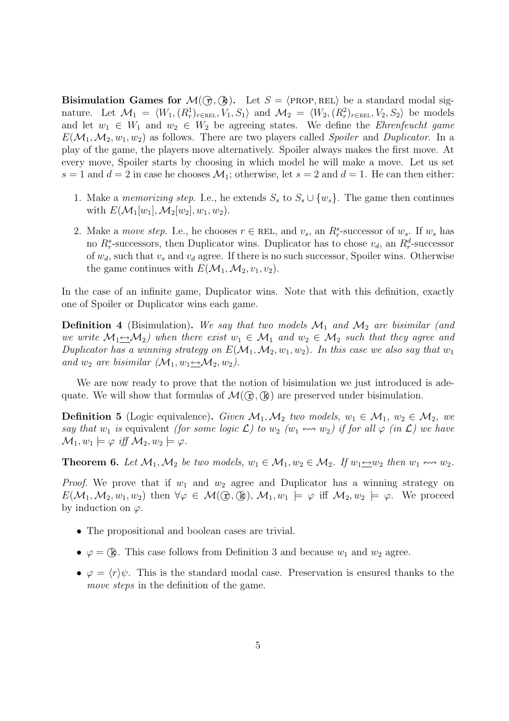Bisimulation Games for  $\mathcal{M}(\mathcal{D}, \mathcal{R})$ . Let  $S = \langle \text{PROP}, \text{REL} \rangle$  be a standard modal signature. Let  $\mathcal{M}_1 = \langle W_1, (R_r^1)_{r \in \text{REL}}, V_1, S_1 \rangle$  and  $\mathcal{M}_2 = \langle W_2, (R_r^2)_{r \in \text{REL}}, V_2, S_2 \rangle$  be models and let  $w_1 \in W_1$  and  $w_2 \in W_2$  be agreeing states. We define the *Ehrenfeucht game*  $E(\mathcal{M}_1,\mathcal{M}_2, w_1, w_2)$  as follows. There are two players called *Spoiler* and *Duplicator*. In a play of the game, the players move alternatively. Spoiler always makes the first move. At every move, Spoiler starts by choosing in which model he will make a move. Let us set  $s = 1$  and  $d = 2$  in case he chooses  $\mathcal{M}_1$ ; otherwise, let  $s = 2$  and  $d = 1$ . He can then either:

- 1. Make a *memorizing step.* I.e., he extends  $S_s$  to  $S_s \cup \{w_s\}$ . The game then continues with  $E(\mathcal{M}_1[w_1], \mathcal{M}_2[w_2], w_1, w_2)$ .
- 2. Make a move step. I.e., he chooses  $r \in \text{REL}$ , and  $v_s$ , an  $R_r^s$ -successor of  $w_s$ . If  $w_s$  has no  $R_r^s$ -successors, then Duplicator wins. Duplicator has to chose  $v_d$ , an  $R_r^d$ -successor of  $w_d$ , such that  $v_s$  and  $v_d$  agree. If there is no such successor, Spoiler wins. Otherwise the game continues with  $E(\mathcal{M}_1,\mathcal{M}_2, v_1, v_2)$ .

In the case of an infinite game, Duplicator wins. Note that with this definition, exactly one of Spoiler or Duplicator wins each game.

**Definition 4** (Bisimulation). We say that two models  $\mathcal{M}_1$  and  $\mathcal{M}_2$  are bisimilar (and we write  $\mathcal{M}_1 \rightarrow \mathcal{M}_2$ ) when there exist  $w_1 \in \mathcal{M}_1$  and  $w_2 \in \mathcal{M}_2$  such that they agree and Duplicator has a winning strategy on  $E(\mathcal{M}_1,\mathcal{M}_2, w_1, w_2)$ . In this case we also say that  $w_1$ and  $w_2$  are bisimilar  $(\mathcal{M}_1, w_1 \rightarrow \mathcal{M}_2, w_2)$ .

We are now ready to prove that the notion of bisimulation we just introduced is adequate. We will show that formulas of  $\mathcal{M}(\widehat{\Omega}, \widehat{\mathbb{R}})$  are preserved under bisimulation.

**Definition 5** (Logic equivalence). Given  $\mathcal{M}_1, \mathcal{M}_2$  two models,  $w_1 \in \mathcal{M}_1$ ,  $w_2 \in \mathcal{M}_2$ , we say that  $w_1$  is equivalent (for some logic  $\mathcal{L}$ ) to  $w_2$  ( $w_1 \leftrightarrow w_2$ ) if for all  $\varphi$  (in  $\mathcal{L}$ ) we have  $\mathcal{M}_1, w_1 \models \varphi \text{ iff } \mathcal{M}_2, w_2 \models \varphi.$ 

**Theorem 6.** Let  $\mathcal{M}_1, \mathcal{M}_2$  be two models,  $w_1 \in \mathcal{M}_1, w_2 \in \mathcal{M}_2$ . If  $w_1 \leftrightarrow w_2$  then  $w_1 \leftrightarrow w_2$ .

*Proof.* We prove that if  $w_1$  and  $w_2$  agree and Duplicator has a winning strategy on  $E(\mathcal{M}_1,\mathcal{M}_2,w_1,w_2)$  then  $\forall \varphi \in \mathcal{M}(\mathbb{G},\mathbb{Q}), \mathcal{M}_1,w_1 \models \varphi$  iff  $\mathcal{M}_2,w_2 \models \varphi$ . We proceed by induction on  $\varphi$ .

- The propositional and boolean cases are trivial.
- $\varphi = \mathbb{Q}$ . This case follows from Definition 3 and because  $w_1$  and  $w_2$  agree.
- $\varphi = \langle r \rangle \psi$ . This is the standard modal case. Preservation is ensured thanks to the move steps in the definition of the game.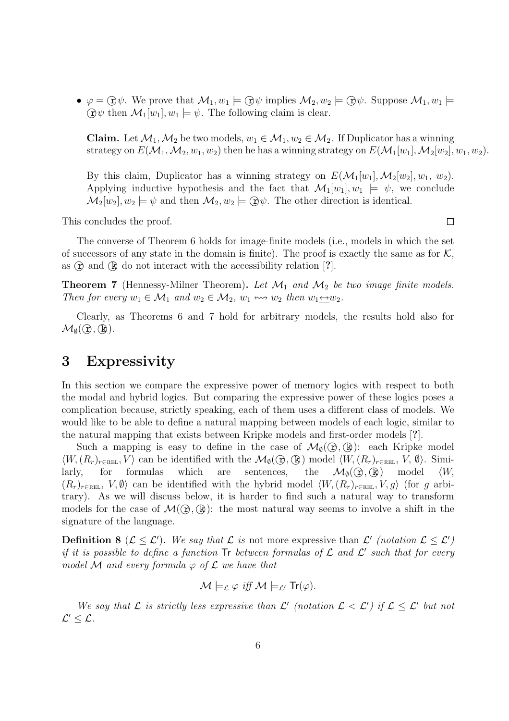•  $\varphi = \bigoplus \psi$ . We prove that  $\mathcal{M}_1, w_1 \models \bigoplus \psi$  implies  $\mathcal{M}_2, w_2 \models \bigoplus \psi$ . Suppose  $\mathcal{M}_1, w_1 \models$  $\bigoplus \psi$  then  $\mathcal{M}_1[w_1], w_1 \models \psi$ . The following claim is clear.

**Claim.** Let  $\mathcal{M}_1, \mathcal{M}_2$  be two models,  $w_1 \in \mathcal{M}_1, w_2 \in \mathcal{M}_2$ . If Duplicator has a winning strategy on  $E(\mathcal{M}_1,\mathcal{M}_2, w_1, w_2)$  then he has a winning strategy on  $E(\mathcal{M}_1[w_1], \mathcal{M}_2[w_2], w_1, w_2)$ .

By this claim, Duplicator has a winning strategy on  $E(\mathcal{M}_1[w_1], \mathcal{M}_2[w_2], w_1, w_2)$ . Applying inductive hypothesis and the fact that  $\mathcal{M}_1[w_1], w_1 \models \psi$ , we conclude  $\mathcal{M}_2[w_2], w_2 \models \psi$  and then  $\mathcal{M}_2, w_2 \models \bigoplus \psi$ . The other direction is identical.

This concludes the proof.

The converse of Theorem 6 holds for image-finite models (i.e., models in which the set of successors of any state in the domain is finite). The proof is exactly the same as for  $K$ , as  $\circled{r}$  and  $\circled{k}$  do not interact with the accessibility relation [?].

**Theorem 7** (Hennessy-Milner Theorem). Let  $\mathcal{M}_1$  and  $\mathcal{M}_2$  be two image finite models. Then for every  $w_1 \in \mathcal{M}_1$  and  $w_2 \in \mathcal{M}_2$ ,  $w_1 \leftrightarrow w_2$  then  $w_1 \leftrightarrow w_2$ .

Clearly, as Theorems 6 and 7 hold for arbitrary models, the results hold also for  $\mathcal{M}_{\emptyset}(\mathbb{Q},\mathbb{Q}).$ 

#### 3 Expressivity

In this section we compare the expressive power of memory logics with respect to both the modal and hybrid logics. But comparing the expressive power of these logics poses a complication because, strictly speaking, each of them uses a different class of models. We would like to be able to define a natural mapping between models of each logic, similar to the natural mapping that exists between Kripke models and first-order models [?].

Such a mapping is easy to define in the case of  $\mathcal{M}_{\emptyset}(\widehat{\mathcal{A}},\mathbb{R})$ : each Kripke model  $\langle W,(R_r)_{r\in\text{REL}}, V \rangle$  can be identified with the  $\mathcal{M}_{\emptyset}(\mathfrak{D}, \mathfrak{B})$  model  $\langle W,(R_r)_{r\in\text{REL}}, V, \emptyset \rangle$ . Similarly, for formulas which are sentences, the  $\mathcal{M}_{\emptyset}(\mathfrak{D}, \mathfrak{B})$  model  $\langle W, \rangle$  $(R_r)_{r \in \text{REL}}$ ,  $V, \emptyset$  can be identified with the hybrid model  $\langle W, (R_r)_{r \in \text{REL}}$ ,  $V, g \rangle$  (for g arbitrary). As we will discuss below, it is harder to find such a natural way to transform models for the case of  $\mathcal{M}(\mathbb{G}, \mathbb{Q})$ : the most natural way seems to involve a shift in the signature of the language.

**Definition 8** ( $\mathcal{L} \leq \mathcal{L}'$ ). We say that  $\mathcal{L}$  is not more expressive than  $\mathcal{L}'$  (notation  $\mathcal{L} \leq \mathcal{L}'$ ) if it is possible to define a function  $\mathsf{Tr}\,$  between formulas of  $\mathcal L$  and  $\mathcal L'$  such that for every model M and every formula  $\varphi$  of  $\mathcal L$  we have that

$$
\mathcal{M}\models_{\mathcal{L}}\varphi\ if\ \mathcal{M}\models_{\mathcal{L}'}\mathsf{Tr}(\varphi).
$$

We say that L is strictly less expressive than  $\mathcal{L}'$  (notation  $\mathcal{L} < \mathcal{L}'$ ) if  $\mathcal{L} \leq \mathcal{L}'$  but not  $\mathcal{L}' \leq \mathcal{L}$ .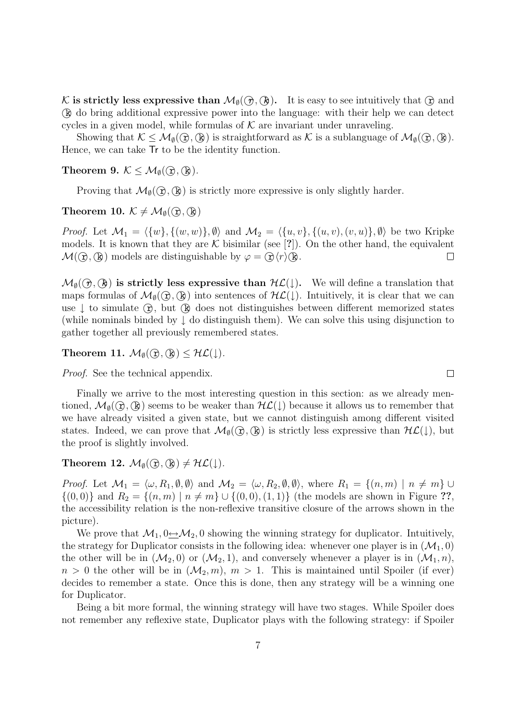K is strictly less expressive than  $\mathcal{M}_{\emptyset}(\hat{\gamma}, \hat{\beta})$ . It is easy to see intuitively that  $\hat{\beta}$  and °k do bring additional expressive power into the language: with their help we can detect cycles in a given model, while formulas of  $K$  are invariant under unraveling.

Showing that  $\mathcal{K} \leq \mathcal{M}_{\emptyset}(\hat{\sigma}, \hat{\phi})$  is straightforward as  $\mathcal{K}$  is a sublanguage of  $\mathcal{M}_{\emptyset}(\hat{\sigma}, \hat{\phi})$ . Hence, we can take Tr to be the identity function.

Theorem 9.  $K \leq \mathcal{M}_{\emptyset}(\mathbb{Q}, \mathbb{Q}).$ 

Proving that  $\mathcal{M}_{\emptyset}(\mathfrak{D},\mathfrak{B})$  is strictly more expressive is only slightly harder.

Theorem 10.  $\mathcal{K} \neq \mathcal{M}_{\emptyset}(\mathbb{Q}, \mathbb{Q})$ 

*Proof.* Let  $\mathcal{M}_1 = \langle \{w\}, \{(w, w)\}, \emptyset \rangle$  and  $\mathcal{M}_2 = \langle \{u, v\}, \{(u, v), (v, u)\}, \emptyset \rangle$  be two Kripke models. It is known that they are  $K$  bisimilar (see [?]). On the other hand, the equivalent  $\mathcal{M}(\Omega,\mathbb{R})$  models are distinguishable by  $\varphi = \Omega \langle r \rangle \langle \mathbb{R}$ .  $\Box$ 

 $\mathcal{M}_{\emptyset}(\hat{\theta}, \hat{\theta})$  is strictly less expressive than  $\mathcal{HL}(\downarrow)$ . We will define a translation that maps formulas of  $\mathcal{M}_{\emptyset}(\mathfrak{D}, \mathfrak{B})$  into sentences of  $\mathcal{HL}(\downarrow)$ . Intuitively, it is clear that we can use  $\downarrow$  to simulate  $\circled{r}$ , but  $\circled{R}$  does not distinguishes between different memorized states (while nominals binded by ↓ do distinguish them). We can solve this using disjunction to gather together all previously remembered states.

Theorem 11.  $\mathcal{M}_{\emptyset}(\mathfrak{D},\mathfrak{B}) \leq \mathcal{HL}(\downarrow)$ .

Proof. See the technical appendix.

Finally we arrive to the most interesting question in this section: as we already mentioned,  $\mathcal{M}_{\emptyset}(\mathcal{D}, \mathbb{Q})$  seems to be weaker than  $H\mathcal{L}(\downarrow)$  because it allows us to remember that we have already visited a given state, but we cannot distinguish among different visited states. Indeed, we can prove that  $\mathcal{M}_{\emptyset}(\mathbb{G},\mathbb{R})$  is strictly less expressive than  $\mathcal{HL}(\downarrow)$ , but the proof is slightly involved.

Theorem 12.  $\mathcal{M}_{\emptyset}(\mathfrak{D},\mathfrak{B}) \neq \mathcal{HL}(\downarrow).$ 

*Proof.* Let  $\mathcal{M}_1 = \langle \omega, R_1, \emptyset, \emptyset \rangle$  and  $\mathcal{M}_2 = \langle \omega, R_2, \emptyset, \emptyset \rangle$ , where  $R_1 = \{(n, m) | n \neq m\} \cup$  $\{(0,0)\}\$ and  $R_2 = \{(n,m) \mid n \neq m\} \cup \{(0,0), (1,1)\}\$  (the models are shown in Figure ??, the accessibility relation is the non-reflexive transitive closure of the arrows shown in the picture).

We prove that  $\mathcal{M}_1, 0 \rightarrow \mathcal{M}_2, 0$  showing the winning strategy for duplicator. Intuitively, the strategy for Duplicator consists in the following idea: whenever one player is in  $(\mathcal{M}_1, 0)$ the other will be in  $(\mathcal{M}_2, 0)$  or  $(\mathcal{M}_2, 1)$ , and conversely whenever a player is in  $(\mathcal{M}_1, n)$ ,  $n > 0$  the other will be in  $(\mathcal{M}_2, m), m > 1$ . This is maintained until Spoiler (if ever) decides to remember a state. Once this is done, then any strategy will be a winning one for Duplicator.

Being a bit more formal, the winning strategy will have two stages. While Spoiler does not remember any reflexive state, Duplicator plays with the following strategy: if Spoiler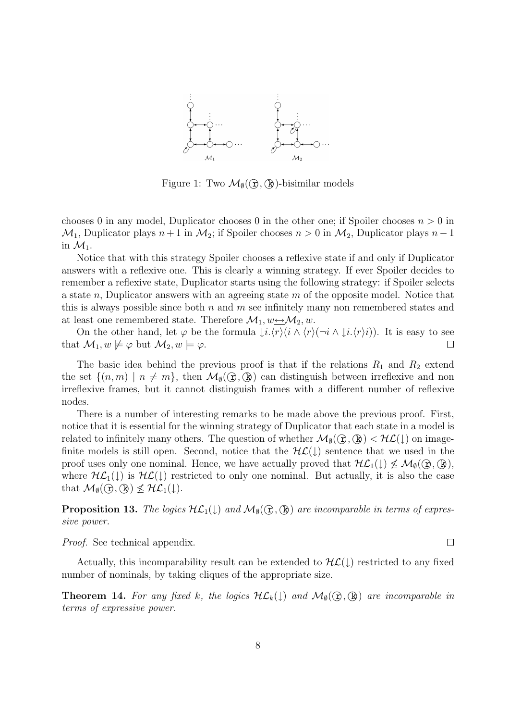

Figure 1: Two  $\mathcal{M}_{\emptyset}(\mathcal{D}, \mathbb{Q})$ -bisimilar models

chooses 0 in any model, Duplicator chooses 0 in the other one; if Spoiler chooses  $n > 0$  in  $\mathcal{M}_1$ , Duplicator plays  $n+1$  in  $\mathcal{M}_2$ ; if Spoiler chooses  $n > 0$  in  $\mathcal{M}_2$ , Duplicator plays  $n-1$ in  $\mathcal{M}_1$ .

Notice that with this strategy Spoiler chooses a reflexive state if and only if Duplicator answers with a reflexive one. This is clearly a winning strategy. If ever Spoiler decides to remember a reflexive state, Duplicator starts using the following strategy: if Spoiler selects a state n, Duplicator answers with an agreeing state m of the opposite model. Notice that this is always possible since both  $n$  and  $m$  see infinitely many non remembered states and at least one remembered state. Therefore  $\mathcal{M}_1, w \rightarrow \mathcal{M}_2, w$ .

On the other hand, let  $\varphi$  be the formula  $\downarrow i.\langle r\rangle(i \wedge \langle r\rangle(\neg i \wedge \downarrow i.\langle r\rangle i))$ . It is easy to see  $\Box$ that  $\mathcal{M}_1, w \not\models \varphi$  but  $\mathcal{M}_2, w \models \varphi$ .

The basic idea behind the previous proof is that if the relations  $R_1$  and  $R_2$  extend the set  $\{(n,m) \mid n \neq m\}$ , then  $\mathcal{M}_{\emptyset}(\mathcal{D}, \mathcal{B})$  can distinguish between irreflexive and non irreflexive frames, but it cannot distinguish frames with a different number of reflexive nodes.

There is a number of interesting remarks to be made above the previous proof. First, notice that it is essential for the winning strategy of Duplicator that each state in a model is related to infinitely many others. The question of whether  $\mathcal{M}_{\emptyset}(\hat{\Omega},\hat{\mathbb{R}}) < \mathcal{HL}(\downarrow)$  on imagefinite models is still open. Second, notice that the  $H\mathcal{L}(\downarrow)$  sentence that we used in the proof uses only one nominal. Hence, we have actually proved that  $H_{\mathcal{L}_1}(\downarrow) \nleq \mathcal{M}_{\emptyset}(\mathcal{R}, \mathbb{R}),$ where  $H\mathcal{L}_1(\downarrow)$  is  $H\mathcal{L}(\downarrow)$  restricted to only one nominal. But actually, it is also the case that  $\mathcal{M}_{\emptyset}(\mathcal{D}, \mathcal{B}) \not\leq \mathcal{HL}_1(\downarrow).$ 

**Proposition 13.** The logics  $H\mathcal{L}_1(\downarrow)$  and  $\mathcal{M}_{\emptyset}(\mathcal{D}, \mathcal{B})$  are incomparable in terms of expressive power.

Proof. See technical appendix.

Actually, this incomparability result can be extended to  $H\mathcal{L}(\downarrow)$  restricted to any fixed number of nominals, by taking cliques of the appropriate size.

 $\Box$ 

**Theorem 14.** For any fixed k, the logics  $H\mathcal{L}_k(\downarrow)$  and  $\mathcal{M}_\emptyset(\mathcal{D},\mathbb{R})$  are incomparable in terms of expressive power.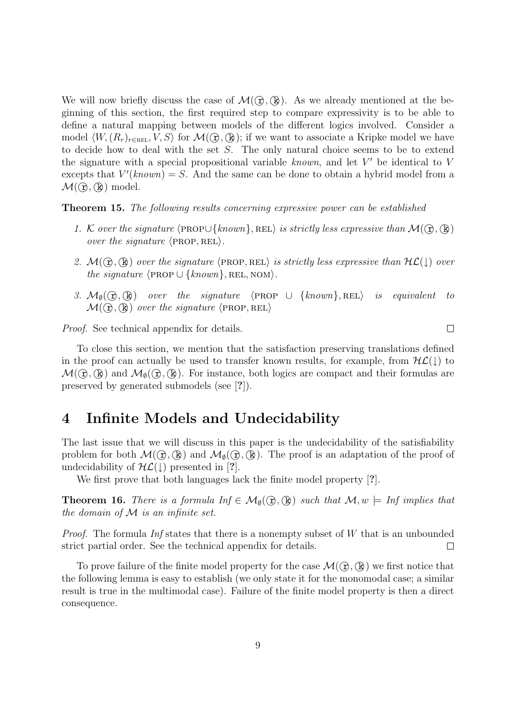We will now briefly discuss the case of  $\mathcal{M}(\mathcal{D},\mathbb{R})$ . As we already mentioned at the beginning of this section, the first required step to compare expressivity is to be able to define a natural mapping between models of the different logics involved. Consider a model  $\langle W,(R_r)_{r\in\text{REL}}, V, S\rangle$  for  $\mathcal{M}(\mathfrak{D},\mathfrak{B})$ ; if we want to associate a Kripke model we have to decide how to deal with the set S. The only natural choice seems to be to extend the signature with a special propositional variable  $known$ , and let  $V'$  be identical to  $V$ excepts that  $V'(known) = S$ . And the same can be done to obtain a hybrid model from a  $\mathcal{M}(\widehat{\Omega},\widehat{\mathbb{R}})$  model.

Theorem 15. The following results concerning expressive power can be established

- 1. K over the signature  $\langle \text{PROPU}\}\$ , REL) is strictly less expressive than  $\mathcal{M}(\hat{\Omega},\hat{\mathbb{R}})$ over the signature  $\langle$ PROP, REL $\rangle$ .
- 2.  $\mathcal{M}(\hat{\Omega}, \hat{\phi})$  over the signature  $\langle \text{PROP}, \text{REL} \rangle$  is strictly less expressive than  $\mathcal{HL}(\downarrow)$  over the signature  $\langle$ PROP ∪  $\{known\}$ , REL, NOM $\rangle$ .
- 3.  $\mathcal{M}_{\emptyset}(\mathfrak{D}, \mathbb{R})$  over the signature  $\langle \text{PROP} \cup \{known\}, \text{REL} \rangle$  is equivalent to  $\mathcal{M}(\widehat{\Omega}, \widehat{\mathbb{R}})$  over the signature  $\langle$ PROP, REL $\rangle$

 $\Box$ 

Proof. See technical appendix for details.

To close this section, we mention that the satisfaction preserving translations defined in the proof can actually be used to transfer known results, for example, from  $H\mathcal{L}(\mathcal{L})$  to  $\mathcal{M}(\mathbb{Q}, \mathbb{Q})$  and  $\mathcal{M}_{\emptyset}(\mathbb{Q}, \mathbb{Q})$ . For instance, both logics are compact and their formulas are preserved by generated submodels (see [?]).

### 4 Infinite Models and Undecidability

The last issue that we will discuss in this paper is the undecidability of the satisfiability problem for both  $\mathcal{M}(\widehat{\Omega},\widehat{\mathbb{R}})$  and  $\mathcal{M}_{\emptyset}(\widehat{\Omega},\widehat{\mathbb{R}})$ . The proof is an adaptation of the proof of undecidability of  $H\mathcal{L}(\downarrow)$  presented in [?].

We first prove that both languages lack the finite model property [?].

**Theorem 16.** There is a formula  $Inf \in \mathcal{M}_{\emptyset}(\mathbb{Q}, \mathbb{Q})$  such that  $\mathcal{M}, w \models Inf$  implies that the domain of  $M$  is an infinite set.

*Proof.* The formula Inf states that there is a nonempty subset of W that is an unbounded strict partial order. See the technical appendix for details.  $\Box$ 

To prove failure of the finite model property for the case  $\mathcal{M}(\mathcal{F},\mathbb{R})$  we first notice that the following lemma is easy to establish (we only state it for the monomodal case; a similar result is true in the multimodal case). Failure of the finite model property is then a direct consequence.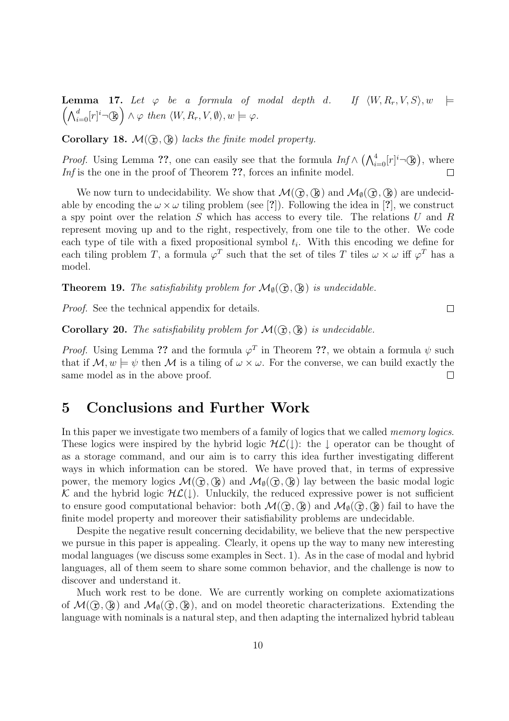**Lemma 17.** Let  $\varphi$  be a formula of modal depth d. If  $\langle W, R_r, V, S \rangle$ ,  $w \models$  $\frac{1}{\Lambda}$  $\big\{u^d_{i=0}[r]^i \neg \mathbb{Q} \big\} \wedge \varphi \text{ then } \langle W, R_r, V, \emptyset \rangle, w \models \varphi.$ 

Corollary 18.  $\mathcal{M}(\hat{\mathfrak{g}},\hat{\mathfrak{g}})$  lacks the finite model property.

*Proof.* Using Lemma ??, one can easily see that the formula  $Inf \wedge (\bigwedge_{i=1}^{4} A_i)$ ¢  $_{i=0}^{4}[r]^{i}$ ¬ $\circledR$ , where Inf is the one in the proof of Theorem ??, forces an infinite model.  $\Box$ 

We now turn to undecidability. We show that  $\mathcal{M}(\widehat{\Omega},\widehat{\mathbb{R}})$  and  $\mathcal{M}_{\emptyset}(\widehat{\Omega},\widehat{\mathbb{R}})$  are undecidable by encoding the  $\omega \times \omega$  tiling problem (see [?]). Following the idea in [?], we construct a spy point over the relation S which has access to every tile. The relations U and R represent moving up and to the right, respectively, from one tile to the other. We code each type of tile with a fixed propositional symbol  $t_i$ . With this encoding we define for each tiling problem T, a formula  $\varphi^T$  such that the set of tiles T tiles  $\omega \times \omega$  iff  $\varphi^T$  has a model.

**Theorem 19.** The satisfiability problem for  $\mathcal{M}_{\emptyset}(\Omega, \Omega)$  is undecidable.

Proof. See the technical appendix for details.

Corollary 20. The satisfiability problem for  $\mathcal{M}(\widehat{\Omega},\widehat{\mathbb{R}})$  is undecidable.

*Proof.* Using Lemma ?? and the formula  $\varphi^T$  in Theorem ??, we obtain a formula  $\psi$  such that if  $\mathcal{M}, w \models \psi$  then  $\mathcal M$  is a tiling of  $\omega \times \omega$ . For the converse, we can build exactly the same model as in the above proof.  $\Box$ 

#### 5 Conclusions and Further Work

In this paper we investigate two members of a family of logics that we called memory logics. These logics were inspired by the hybrid logic  $H\mathcal{L}(\downarrow)$ : the  $\downarrow$  operator can be thought of as a storage command, and our aim is to carry this idea further investigating different ways in which information can be stored. We have proved that, in terms of expressive power, the memory logics  $\mathcal{M}(\hat{\Omega}, \hat{\phi})$  and  $\mathcal{M}_{\emptyset}(\hat{\Omega}, \hat{\phi})$  lay between the basic modal logic K and the hybrid logic  $H\mathcal{L}(\downarrow)$ . Unluckily, the reduced expressive power is not sufficient to ensure good computational behavior: both  $\mathcal{M}(\hat{\Omega}, \hat{\alpha})$  and  $\mathcal{M}_{\emptyset}(\hat{\Omega}, \hat{\alpha})$  fail to have the finite model property and moreover their satisfiability problems are undecidable.

Despite the negative result concerning decidability, we believe that the new perspective we pursue in this paper is appealing. Clearly, it opens up the way to many new interesting modal languages (we discuss some examples in Sect. 1). As in the case of modal and hybrid languages, all of them seem to share some common behavior, and the challenge is now to discover and understand it.

Much work rest to be done. We are currently working on complete axiomatizations of  $\mathcal{M}(\mathcal{C}, \mathbb{R})$  and  $\mathcal{M}_{\emptyset}(\mathcal{D}, \mathbb{R})$ , and on model theoretic characterizations. Extending the language with nominals is a natural step, and then adapting the internalized hybrid tableau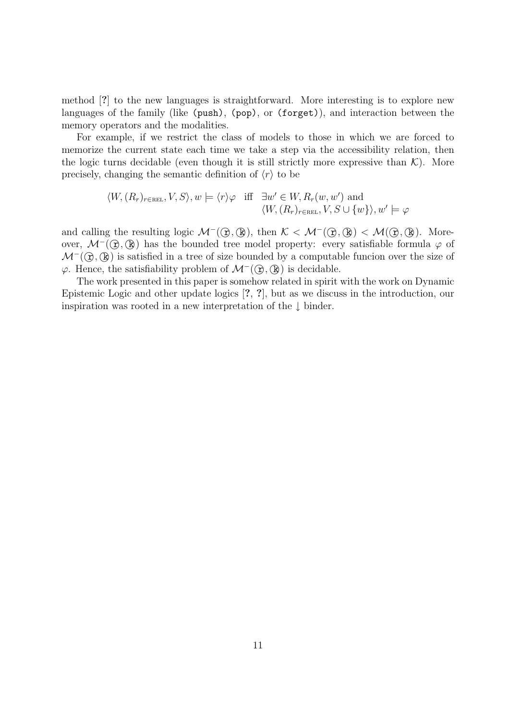method [?] to the new languages is straightforward. More interesting is to explore new languages of the family (like (push), (pop), or (forget)), and interaction between the memory operators and the modalities.

For example, if we restrict the class of models to those in which we are forced to memorize the current state each time we take a step via the accessibility relation, then the logic turns decidable (even though it is still strictly more expressive than  $\mathcal{K}$ ). More precisely, changing the semantic definition of  $\langle r \rangle$  to be

$$
\langle W, (R_r)_{r \in \text{REL}}, V, S \rangle, w \models \langle r \rangle \varphi \quad \text{iff} \quad \exists w' \in W, R_r(w, w') \text{ and}
$$

$$
\langle W, (R_r)_{r \in \text{REL}}, V, S \cup \{w\} \rangle, w' \models \varphi
$$

and calling the resulting logic  $\mathcal{M}^-(\hat{\Omega}, \hat{\mathbb{R}})$ , then  $\mathcal{K} < \mathcal{M}^-(\hat{\Omega}, \hat{\mathbb{R}}) < \mathcal{M}(\hat{\Omega}, \hat{\mathbb{R}})$ . Moreover,  $\mathcal{M}^-(\Omega,\mathbb{R})$  has the bounded tree model property: every satisfiable formula  $\varphi$  of  $\mathcal{M}^-(\hat{\Omega},\hat{\mathbb{R}})$  is satisfied in a tree of size bounded by a computable funcion over the size of  $\varphi$ . Hence, the satisfiability problem of  $\mathcal{M}^-(\hat{\Omega},\hat{\mathbb{R}})$  is decidable.

The work presented in this paper is somehow related in spirit with the work on Dynamic Epistemic Logic and other update logics [?, ?], but as we discuss in the introduction, our inspiration was rooted in a new interpretation of the ↓ binder.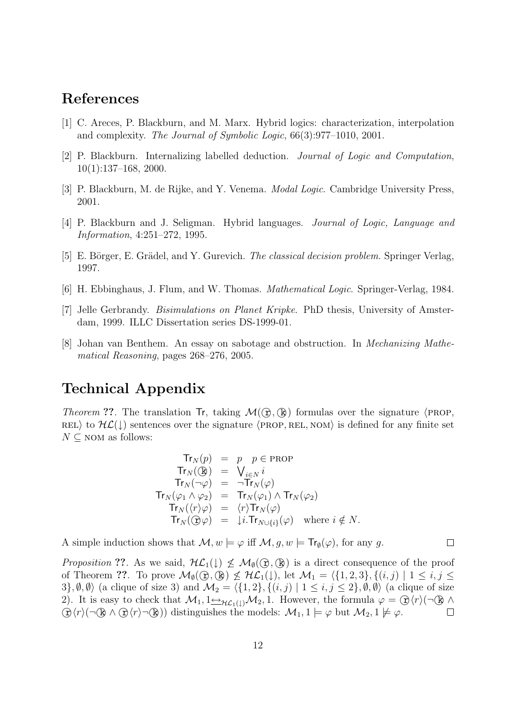#### References

- [1] C. Areces, P. Blackburn, and M. Marx. Hybrid logics: characterization, interpolation and complexity. The Journal of Symbolic Logic, 66(3):977–1010, 2001.
- [2] P. Blackburn. Internalizing labelled deduction. Journal of Logic and Computation,  $10(1):137-168$ , 2000.
- [3] P. Blackburn, M. de Rijke, and Y. Venema. Modal Logic. Cambridge University Press, 2001.
- [4] P. Blackburn and J. Seligman. Hybrid languages. Journal of Logic, Language and Information, 4:251–272, 1995.
- [5] E. Börger, E. Grädel, and Y. Gurevich. *The classical decision problem*. Springer Verlag, 1997.
- [6] H. Ebbinghaus, J. Flum, and W. Thomas. Mathematical Logic. Springer-Verlag, 1984.
- [7] Jelle Gerbrandy. Bisimulations on Planet Kripke. PhD thesis, University of Amsterdam, 1999. ILLC Dissertation series DS-1999-01.
- [8] Johan van Benthem. An essay on sabotage and obstruction. In Mechanizing Mathematical Reasoning, pages 268–276, 2005.

## Technical Appendix

Theorem ??. The translation Tr, taking  $\mathcal{M}(\mathcal{D}, \mathbb{R})$  formulas over the signature (PROP, REL) to  $H\mathcal{L}(\downarrow)$  sentences over the signature  $\langle$  PROP, REL, NOM $\rangle$  is defined for any finite set  $N \subseteq$  NOM as follows:

$$
\begin{array}{rcl}\n\operatorname{Tr}_N(p) & = & p & p \in \text{PROP} \\
\operatorname{Tr}_N(\mathbb{B}) & = & \bigvee_{i \in N} i \\
\operatorname{Tr}_N(\neg \varphi) & = & \neg \operatorname{Tr}_N(\varphi) \\
\operatorname{Tr}_N(\varphi_1 \land \varphi_2) & = & \operatorname{Tr}_N(\varphi_1) \land \operatorname{Tr}_N(\varphi_2) \\
\operatorname{Tr}_N(\langle r \rangle \varphi) & = & \langle r \rangle \operatorname{Tr}_N(\varphi) \\
\operatorname{Tr}_N(\bigcirc \varphi) & = & \downarrow i.\operatorname{Tr}_{N \cup \{i\}}(\varphi) \quad \text{where } i \notin N.\n\end{array}
$$

A simple induction shows that  $\mathcal{M}, w \models \varphi$  iff  $\mathcal{M}, g, w \models \mathsf{Tr}_{\emptyset}(\varphi)$ , for any g.

*Proposition* ??. As we said,  $H\mathcal{L}_1(\downarrow) \nleq M_{\emptyset}(\mathcal{D}, \mathbb{R})$  is a direct consequence of the proof of Theorem ??. To prove  $\mathcal{M}_{\emptyset}(\mathbb{Q}, \mathbb{Q}) \not\leq \mathcal{HL}_1(\downarrow)$ , let  $\mathcal{M}_1 = \{\{1, 2, 3\}, \{(i, j) | 1 \leq i, j \leq j\} \mid j \leq j \leq k\}$  $3$ ,  $\emptyset$ ,  $\emptyset$  (a clique of size 3) and  $\mathcal{M}_2 = \{\{1, 2\}, \{(i, j) | 1 \le i, j \le 2\}, \emptyset, \emptyset\}$  (a clique of size 2). It is easy to check that  $\mathcal{M}_1, 1 \underline{\leftrightarrow}_{\mathcal{HL}_1(\downarrow)} \mathcal{M}_2, 1$ . However, the formula  $\varphi = \bigoplus \langle r \rangle (\neg \mathbb{Q} \land \neg \mathbb{Q})$  $\mathcal{D}(r)$  ( $\neg \mathbb{Q} \wedge \mathcal{D}(r) \neg \mathbb{Q}$ )) distinguishes the models:  $\mathcal{M}_1, 1 \models \varphi$  but  $\mathcal{M}_2, 1 \not\models \varphi$ .  $\Box$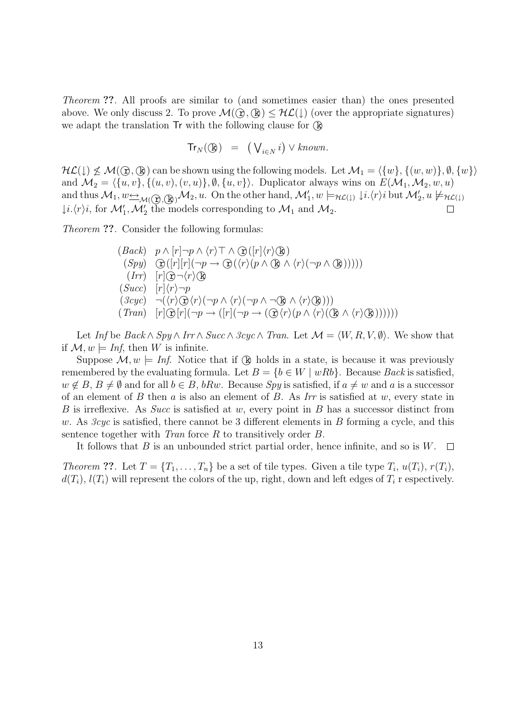Theorem ??. All proofs are similar to (and sometimes easier than) the ones presented above. We only discuss 2. To prove  $\mathcal{M}(\mathcal{D}, \mathbb{R}) \leq \mathcal{HL}(\downarrow)$  (over the appropriate signatures) we adapt the translation  $\mathsf{Tr}$  with the following clause for  $(\mathbb{R})$ 

$$
\mathsf{Tr}_N(\mathbb{Q}) = (\bigvee_{i \in N} i) \vee known.
$$

 $H\mathcal{L}(\downarrow) \not\leq \mathcal{M}(\mathfrak{D}, \mathfrak{B})$  can be shown using the following models. Let  $\mathcal{M}_1 = \langle \{w\}, \{(w, w)\}, \emptyset, \{w\}\rangle$ and  $\mathcal{M}_2 = \langle \{u, v\}, \{(u, v), (v, u)\}, \emptyset, \{u, v\}\rangle$ . Duplicator always wins on  $E(\mathcal{M}_1, \mathcal{M}_2, w, u)$ and thus  $\mathcal{M}_1, w \in_{\mathcal{M}(\widehat{\mathcal{D}}), (\widehat{\mathcal{R}})} \mathcal{M}_2, u$ . On the other hand,  $\mathcal{M}'_1, w \models_{\mathcal{HL}(1)} \mathcal{p}_i \langle r \rangle i$  but  $\mathcal{M}'_2, u \not\models_{\mathcal{HL}(1)}$  $\downarrow i. \langle r \rangle i$ , for  $\mathcal{M}'_1, \mathcal{M}'_2$  the models corresponding to  $\mathcal{M}_1$  and  $\mathcal{M}_2$ .  $\Box$ 

Theorem ??. Consider the following formulas:

$$
(Back) p \land [r] \neg p \land \langle r \rangle \top \land \bigcirc ([r] \langle r \rangle \textcircled{k})
$$
  
\n
$$
(Syn) \bigcirc (\bigcirc [r][r] \neg p \rightarrow \bigcirc (\langle r \rangle (p \land \textcircled{k} \land \langle r \rangle (\neg p \land \textcircled{k})))\big)
$$
  
\n
$$
(Irr) [r] \bigcirc \neg \langle r \rangle \textcircled{k}
$$
  
\n
$$
(Succ) [r] \langle r \rangle \neg p
$$
  
\n
$$
(3cyc) \neg (\langle r \rangle \bigcirc \langle r \rangle (\neg p \land \langle r \rangle (\neg p \land \neg \textcircled{k} \land \langle r \rangle \textcircled{k})))
$$
  
\n
$$
(Tran) [r] \bigcirc [r] (\neg p \rightarrow ([r] (\neg p \rightarrow (\bigcirc \langle r \rangle (p \land \langle r \rangle (\textcircled{k} \land \langle r \rangle \textcircled{k})))))))
$$

Let Inf be Back  $\wedge$  Spy  $\wedge$  Irr  $\wedge$  Succ  $\wedge$  3cyc  $\wedge$  Tran. Let  $\mathcal{M} = \langle W, R, V, \emptyset \rangle$ . We show that if  $\mathcal{M}, w \models \textit{Inf},$  then W is infinite.

Suppose  $\mathcal{M}, w \models \textit{Inf.}$  Notice that if  $\mathbb{R}$  holds in a state, is because it was previously remembered by the evaluating formula. Let  $B = \{b \in W \mid wRb\}$ . Because Back is satisfied,  $w \notin B$ ,  $B \neq \emptyset$  and for all  $b \in B$ ,  $bRw$ . Because Spy is satisfied, if  $a \neq w$  and a is a successor of an element of B then  $a$  is also an element of B. As Irr is satisfied at  $w$ , every state in B is irreflexive. As Succ is satisfied at w, every point in B has a successor distinct from w. As  $3cyc$  is satisfied, there cannot be 3 different elements in B forming a cycle, and this sentence together with  $\text{Tran}$  force R to transitively order B.

It follows that B is an unbounded strict partial order, hence infinite, and so is  $W$ .  $\Box$ 

*Theorem* ??. Let  $T = \{T_1, \ldots, T_n\}$  be a set of tile types. Given a tile type  $T_i$ ,  $u(T_i)$ ,  $r(T_i)$ ,  $d(T_i)$ ,  $l(T_i)$  will represent the colors of the up, right, down and left edges of  $T_i$  r espectively.